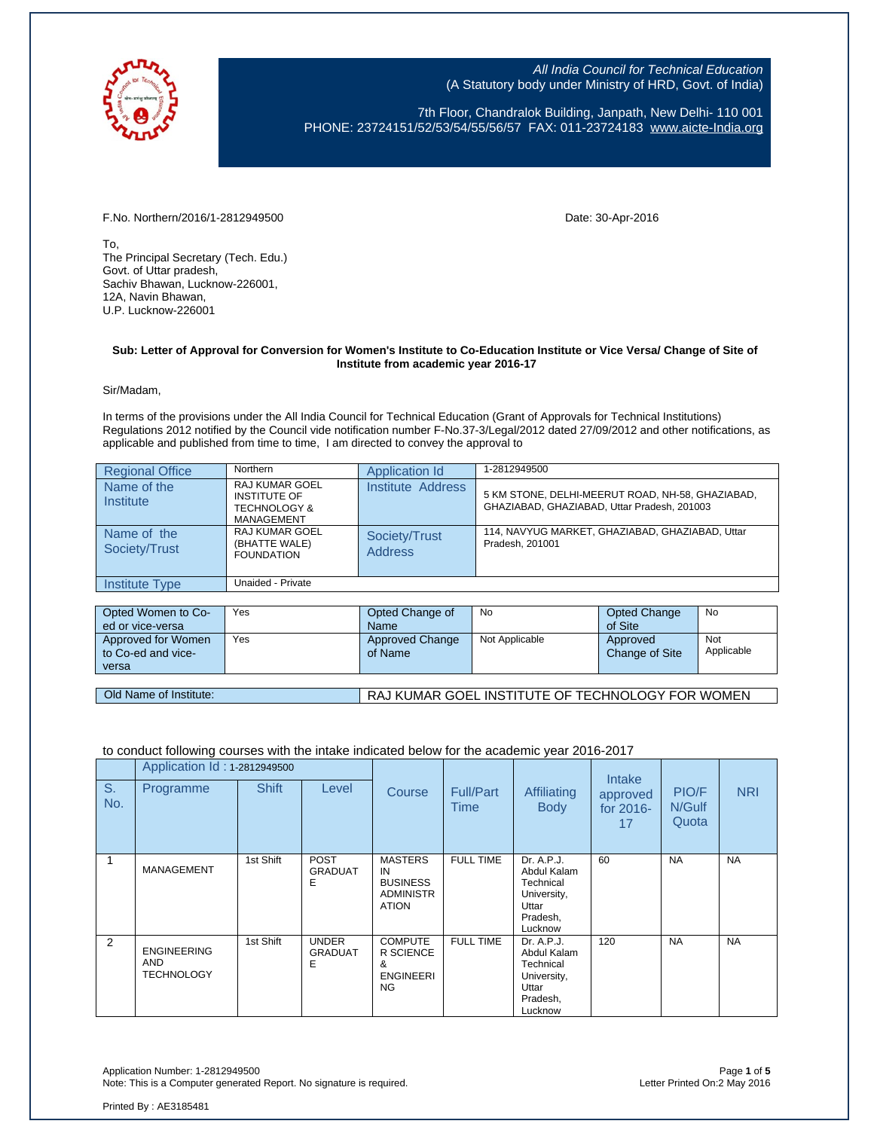

7th Floor, Chandralok Building, Janpath, New Delhi- 110 001 PHONE: 23724151/52/53/54/55/56/57 FAX: 011-23724183 [www.aicte-India.org](http://www.aicte-india.org/)

F.No. Northern/2016/1-2812949500 Date: 30-Apr-2016

To, The Principal Secretary (Tech. Edu.) Govt. of Uttar pradesh, Sachiv Bhawan, Lucknow-226001, 12A, Navin Bhawan, U.P. Lucknow-226001

#### **Sub: Letter of Approval for Conversion for Women's Institute to Co-Education Institute or Vice Versa/ Change of Site of Institute from academic year 2016-17**

Sir/Madam,

In terms of the provisions under the All India Council for Technical Education (Grant of Approvals for Technical Institutions) Regulations 2012 notified by the Council vide notification number F-No.37-3/Legal/2012 dated 27/09/2012 and other notifications, as applicable and published from time to time, I am directed to convey the approval to

| <b>Regional Office</b>       | Northern                                                                              | Application Id                  | 1-2812949500                                                                                    |
|------------------------------|---------------------------------------------------------------------------------------|---------------------------------|-------------------------------------------------------------------------------------------------|
| Name of the<br>Institute     | <b>RAJ KUMAR GOEL</b><br><b>INSTITUTE OF</b><br><b>TECHNOLOGY &amp;</b><br>MANAGEMENT | Institute Address               | 5 KM STONE, DELHI-MEERUT ROAD, NH-58, GHAZIABAD,<br>GHAZIABAD, GHAZIABAD, Uttar Pradesh, 201003 |
| Name of the<br>Society/Trust | RAJ KUMAR GOEL<br>(BHATTE WALE)<br><b>FOUNDATION</b>                                  | Society/Trust<br><b>Address</b> | 114. NAVYUG MARKET, GHAZIABAD, GHAZIABAD, Uttar<br>Pradesh, 201001                              |
| Institute Type               | Unaided - Private                                                                     |                                 |                                                                                                 |

| Opted Women to Co-                       | Yes | Opted Change of                   | No             | Opted Change                      | No                |
|------------------------------------------|-----|-----------------------------------|----------------|-----------------------------------|-------------------|
| ed or vice-versa                         |     | <b>Name</b>                       |                | of Site                           |                   |
| Approved for Women<br>to Co-ed and vice- | Yes | <b>Approved Change</b><br>of Name | Not Applicable | Approved<br><b>Change of Site</b> | Not<br>Applicable |
| versa                                    |     |                                   |                |                                   |                   |
|                                          |     |                                   |                |                                   |                   |

# Old Name of Institute: RAJ KUMAR GOEL INSTITUTE OF TECHNOLOGY FOR WOMEN

# to conduct following courses with the intake indicated below for the academic year 2016-2017

|           | Application Id: 1-2812949500                          |              |                                     |                                                                             |                          |                                                                                       | Intake                      |                          |            |
|-----------|-------------------------------------------------------|--------------|-------------------------------------|-----------------------------------------------------------------------------|--------------------------|---------------------------------------------------------------------------------------|-----------------------------|--------------------------|------------|
| S.<br>No. | Programme                                             | <b>Shift</b> | Level                               | Course                                                                      | <b>Full/Part</b><br>Time | Affiliating<br><b>Body</b>                                                            | approved<br>for 2016-<br>17 | PIO/F<br>N/Gulf<br>Quota | <b>NRI</b> |
|           | <b>MANAGEMENT</b>                                     | 1st Shift    | <b>POST</b><br><b>GRADUAT</b><br>E  | <b>MASTERS</b><br>IN<br><b>BUSINESS</b><br><b>ADMINISTR</b><br><b>ATION</b> | <b>FULL TIME</b>         | Dr. A.P.J.<br>Abdul Kalam<br>Technical<br>University,<br>Uttar<br>Pradesh,<br>Lucknow | 60                          | <b>NA</b>                | <b>NA</b>  |
| 2         | <b>ENGINEERING</b><br><b>AND</b><br><b>TECHNOLOGY</b> | 1st Shift    | <b>UNDER</b><br><b>GRADUAT</b><br>Е | <b>COMPUTE</b><br>R SCIENCE<br>&<br><b>ENGINEERI</b><br>NG                  | <b>FULL TIME</b>         | Dr. A.P.J.<br>Abdul Kalam<br>Technical<br>University,<br>Uttar<br>Pradesh,<br>Lucknow | 120                         | <b>NA</b>                | <b>NA</b>  |

Application Number: 1-2812949500 Page **1** of **5** Note: This is a Computer generated Report. No signature is required.

Printed By : AE3185481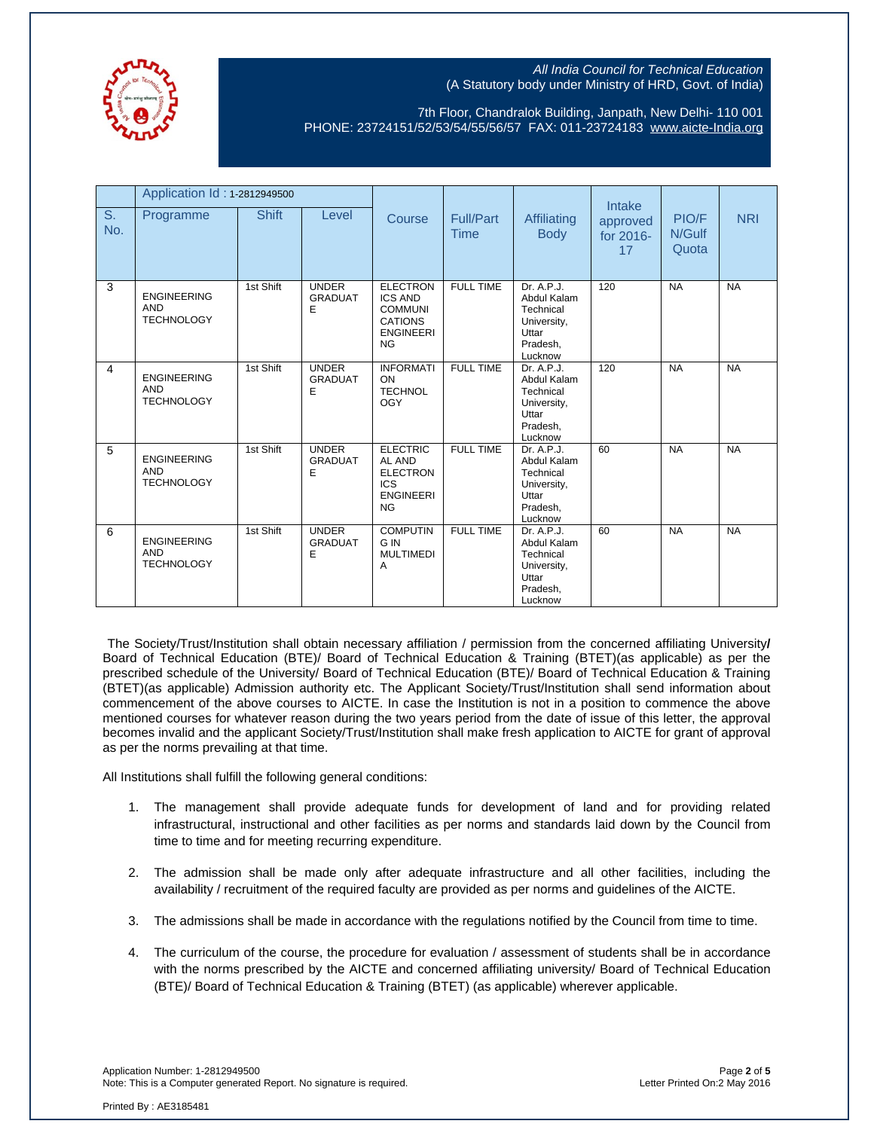

7th Floor, Chandralok Building, Janpath, New Delhi- 110 001 PHONE: 23724151/52/53/54/55/56/57 FAX: 011-23724183 [www.aicte-India.org](http://www.aicte-india.org/)

|                | Application Id: 1-2812949500                          |              |                                     |                                                                                                        |                          |                                                                                       | Intake                      |                          |            |
|----------------|-------------------------------------------------------|--------------|-------------------------------------|--------------------------------------------------------------------------------------------------------|--------------------------|---------------------------------------------------------------------------------------|-----------------------------|--------------------------|------------|
| S.<br>No.      | Programme                                             | <b>Shift</b> | Level                               | Course                                                                                                 | Full/Part<br><b>Time</b> | Affiliating<br><b>Body</b>                                                            | approved<br>for 2016-<br>17 | PIO/F<br>N/Gulf<br>Quota | <b>NRI</b> |
| 3              | <b>ENGINEERING</b><br><b>AND</b><br><b>TECHNOLOGY</b> | 1st Shift    | <b>UNDER</b><br><b>GRADUAT</b><br>Е | <b>ELECTRON</b><br><b>ICS AND</b><br><b>COMMUNI</b><br><b>CATIONS</b><br><b>ENGINEERI</b><br><b>NG</b> | <b>FULL TIME</b>         | Dr. A.P.J.<br>Abdul Kalam<br>Technical<br>University,<br>Uttar<br>Pradesh.<br>Lucknow | 120                         | <b>NA</b>                | <b>NA</b>  |
| $\overline{4}$ | <b>ENGINEERING</b><br><b>AND</b><br><b>TECHNOLOGY</b> | 1st Shift    | <b>UNDER</b><br><b>GRADUAT</b><br>E | <b>INFORMATI</b><br>ON<br><b>TECHNOL</b><br><b>OGY</b>                                                 | <b>FULL TIME</b>         | Dr. A.P.J.<br>Abdul Kalam<br>Technical<br>University,<br>Uttar<br>Pradesh.<br>Lucknow | 120                         | <b>NA</b>                | <b>NA</b>  |
| 5              | <b>ENGINEERING</b><br><b>AND</b><br><b>TECHNOLOGY</b> | 1st Shift    | <b>UNDER</b><br><b>GRADUAT</b><br>E | <b>ELECTRIC</b><br>AL AND<br><b>ELECTRON</b><br><b>ICS</b><br><b>ENGINEERI</b><br><b>NG</b>            | <b>FULL TIME</b>         | Dr. A.P.J.<br>Abdul Kalam<br>Technical<br>University,<br>Uttar<br>Pradesh,<br>Lucknow | 60                          | <b>NA</b>                | <b>NA</b>  |
| 6              | <b>ENGINEERING</b><br><b>AND</b><br><b>TECHNOLOGY</b> | 1st Shift    | <b>UNDER</b><br><b>GRADUAT</b><br>Ε | <b>COMPUTIN</b><br>G IN<br><b>MULTIMEDI</b><br>A                                                       | <b>FULL TIME</b>         | Dr. A.P.J.<br>Abdul Kalam<br>Technical<br>University,<br>Uttar<br>Pradesh,<br>Lucknow | 60                          | <b>NA</b>                | <b>NA</b>  |

The Society/Trust/Institution shall obtain necessary affiliation / permission from the concerned affiliating University**/** Board of Technical Education (BTE)/ Board of Technical Education & Training (BTET)(as applicable) as per the prescribed schedule of the University/ Board of Technical Education (BTE)/ Board of Technical Education & Training (BTET)(as applicable) Admission authority etc. The Applicant Society/Trust/Institution shall send information about commencement of the above courses to AICTE. In case the Institution is not in a position to commence the above mentioned courses for whatever reason during the two years period from the date of issue of this letter, the approval becomes invalid and the applicant Society/Trust/Institution shall make fresh application to AICTE for grant of approval as per the norms prevailing at that time.

All Institutions shall fulfill the following general conditions:

- 1. The management shall provide adequate funds for development of land and for providing related infrastructural, instructional and other facilities as per norms and standards laid down by the Council from time to time and for meeting recurring expenditure.
- 2. The admission shall be made only after adequate infrastructure and all other facilities, including the availability / recruitment of the required faculty are provided as per norms and guidelines of the AICTE.
- 3. The admissions shall be made in accordance with the regulations notified by the Council from time to time.
- 4. The curriculum of the course, the procedure for evaluation / assessment of students shall be in accordance with the norms prescribed by the AICTE and concerned affiliating university/ Board of Technical Education (BTE)/ Board of Technical Education & Training (BTET) (as applicable) wherever applicable.

Application Number: 1-2812949500 Page **2** of **5** Note: This is a Computer generated Report. No signature is required.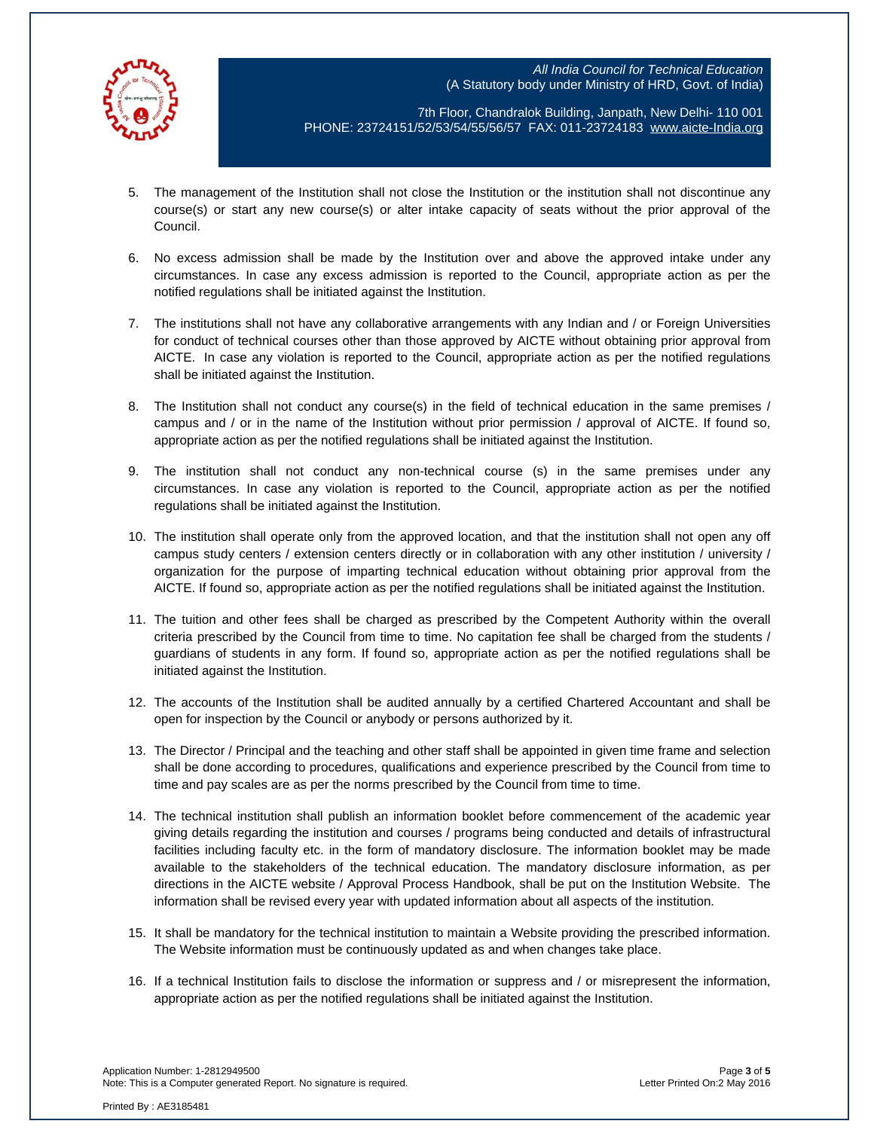

7th Floor, Chandralok Building, Janpath, New Delhi- 110 001 PHONE: 23724151/52/53/54/55/56/57 FAX: 011-23724183 [www.aicte-India.org](http://www.aicte-india.org/)

- 5. The management of the Institution shall not close the Institution or the institution shall not discontinue any course(s) or start any new course(s) or alter intake capacity of seats without the prior approval of the Council.
- 6. No excess admission shall be made by the Institution over and above the approved intake under any circumstances. In case any excess admission is reported to the Council, appropriate action as per the notified regulations shall be initiated against the Institution.
- 7. The institutions shall not have any collaborative arrangements with any Indian and / or Foreign Universities for conduct of technical courses other than those approved by AICTE without obtaining prior approval from AICTE. In case any violation is reported to the Council, appropriate action as per the notified regulations shall be initiated against the Institution.
- 8. The Institution shall not conduct any course(s) in the field of technical education in the same premises / campus and / or in the name of the Institution without prior permission / approval of AICTE. If found so, appropriate action as per the notified regulations shall be initiated against the Institution.
- 9. The institution shall not conduct any non-technical course (s) in the same premises under any circumstances. In case any violation is reported to the Council, appropriate action as per the notified regulations shall be initiated against the Institution.
- 10. The institution shall operate only from the approved location, and that the institution shall not open any off campus study centers / extension centers directly or in collaboration with any other institution / university / organization for the purpose of imparting technical education without obtaining prior approval from the AICTE. If found so, appropriate action as per the notified regulations shall be initiated against the Institution.
- 11. The tuition and other fees shall be charged as prescribed by the Competent Authority within the overall criteria prescribed by the Council from time to time. No capitation fee shall be charged from the students / guardians of students in any form. If found so, appropriate action as per the notified regulations shall be initiated against the Institution.
- 12. The accounts of the Institution shall be audited annually by a certified Chartered Accountant and shall be open for inspection by the Council or anybody or persons authorized by it.
- 13. The Director / Principal and the teaching and other staff shall be appointed in given time frame and selection shall be done according to procedures, qualifications and experience prescribed by the Council from time to time and pay scales are as per the norms prescribed by the Council from time to time.
- 14. The technical institution shall publish an information booklet before commencement of the academic year giving details regarding the institution and courses / programs being conducted and details of infrastructural facilities including faculty etc. in the form of mandatory disclosure. The information booklet may be made available to the stakeholders of the technical education. The mandatory disclosure information, as per directions in the AICTE website / Approval Process Handbook, shall be put on the Institution Website. The information shall be revised every year with updated information about all aspects of the institution.
- 15. It shall be mandatory for the technical institution to maintain a Website providing the prescribed information. The Website information must be continuously updated as and when changes take place.
- 16. If a technical Institution fails to disclose the information or suppress and / or misrepresent the information, appropriate action as per the notified regulations shall be initiated against the Institution.

Application Number: 1-2812949500 Page **3** of **5** Note: This is a Computer generated Report. No signature is required.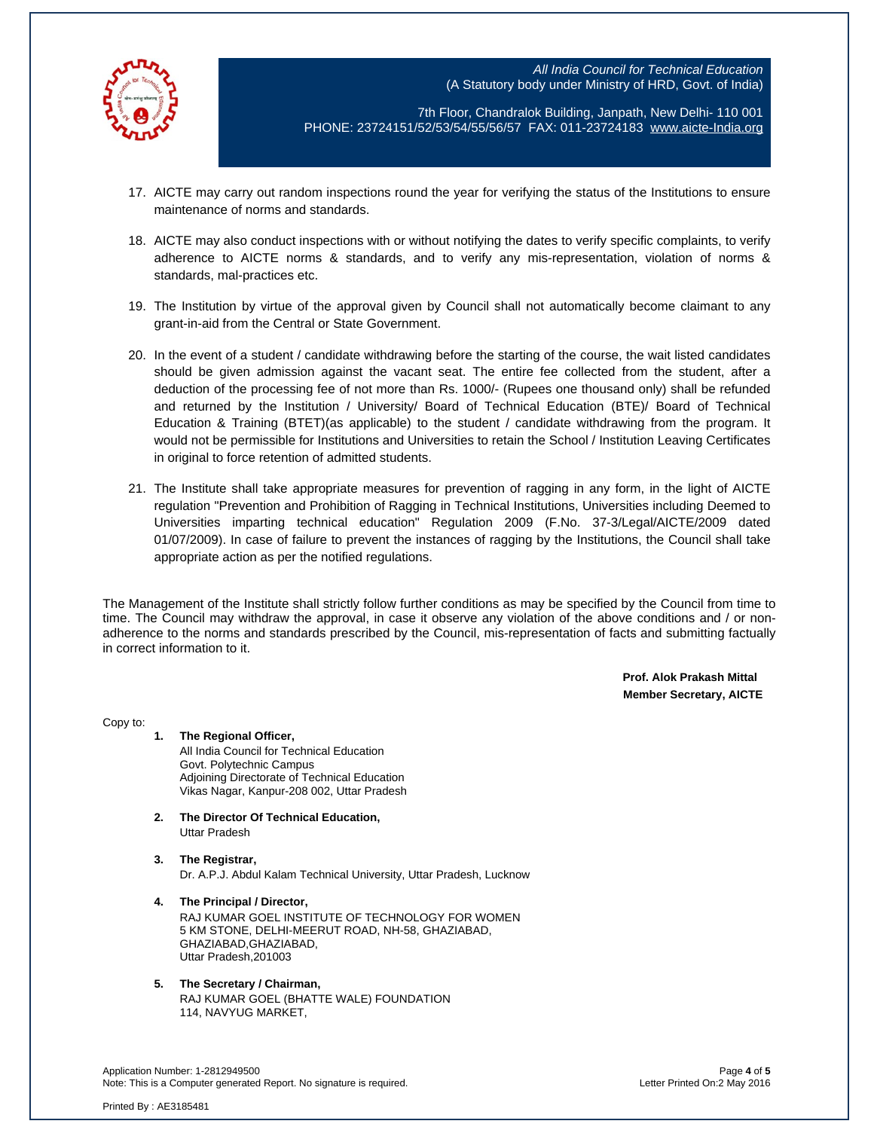

7th Floor, Chandralok Building, Janpath, New Delhi- 110 001 PHONE: 23724151/52/53/54/55/56/57 FAX: 011-23724183 [www.aicte-India.org](http://www.aicte-india.org/)

- 17. AICTE may carry out random inspections round the year for verifying the status of the Institutions to ensure maintenance of norms and standards.
- 18. AICTE may also conduct inspections with or without notifying the dates to verify specific complaints, to verify adherence to AICTE norms & standards, and to verify any mis-representation, violation of norms & standards, mal-practices etc.
- 19. The Institution by virtue of the approval given by Council shall not automatically become claimant to any grant-in-aid from the Central or State Government.
- 20. In the event of a student / candidate withdrawing before the starting of the course, the wait listed candidates should be given admission against the vacant seat. The entire fee collected from the student, after a deduction of the processing fee of not more than Rs. 1000/- (Rupees one thousand only) shall be refunded and returned by the Institution / University/ Board of Technical Education (BTE)/ Board of Technical Education & Training (BTET)(as applicable) to the student / candidate withdrawing from the program. It would not be permissible for Institutions and Universities to retain the School / Institution Leaving Certificates in original to force retention of admitted students.
- 21. The Institute shall take appropriate measures for prevention of ragging in any form, in the light of AICTE regulation "Prevention and Prohibition of Ragging in Technical Institutions, Universities including Deemed to Universities imparting technical education" Regulation 2009 (F.No. 37-3/Legal/AICTE/2009 dated 01/07/2009). In case of failure to prevent the instances of ragging by the Institutions, the Council shall take appropriate action as per the notified regulations.

The Management of the Institute shall strictly follow further conditions as may be specified by the Council from time to time. The Council may withdraw the approval, in case it observe any violation of the above conditions and / or nonadherence to the norms and standards prescribed by the Council, mis-representation of facts and submitting factually in correct information to it.

> **Prof. Alok Prakash Mittal Member Secretary, AICTE**

Copy to:

- **1. The Regional Officer,** All India Council for Technical Education Govt. Polytechnic Campus Adjoining Directorate of Technical Education Vikas Nagar, Kanpur-208 002, Uttar Pradesh
- **2. The Director Of Technical Education,** Uttar Pradesh
- **3. The Registrar,** Dr. A.P.J. Abdul Kalam Technical University, Uttar Pradesh, Lucknow
- **4. The Principal / Director,** RAJ KUMAR GOEL INSTITUTE OF TECHNOLOGY FOR WOMEN 5 KM STONE, DELHI-MEERUT ROAD, NH-58, GHAZIABAD, GHAZIABAD,GHAZIABAD, Uttar Pradesh,201003

#### **5. The Secretary / Chairman,** RAJ KUMAR GOEL (BHATTE WALE) FOUNDATION 114, NAVYUG MARKET,

Application Number: 1-2812949500 Page **4** of **5** Note: This is a Computer generated Report. No signature is required.